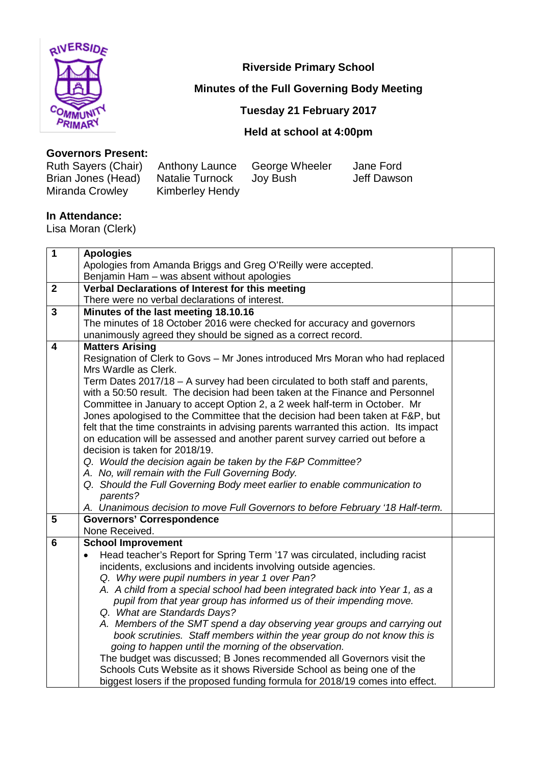

**Riverside Primary School**

# **Minutes of the Full Governing Body Meeting**

## **Tuesday 21 February 2017**

## **Held at school at 4:00pm**

#### **Governors Present:**

| Ruth Sayers (Chair) Anthony Launce |                 | George Wheeler | Jane Ford   |
|------------------------------------|-----------------|----------------|-------------|
| Brian Jones (Head)                 | Natalie Turnock | Joy Bush       | Jeff Dawson |
| Miranda Crowley                    | Kimberley Hendy |                |             |

#### **In Attendance:**

Lisa Moran (Clerk)

| <b>Apologies</b>                                                              |                                                                                                                                                                                                                                                                                                                                                                                                                                                                                                                                                                                                                                                                                                                                                                                                                                                                                                                                                                                                                                                                                                                                                                                                                                                                                                                                                                                                                                                                                                                                                                                                                                                                                    |  |
|-------------------------------------------------------------------------------|------------------------------------------------------------------------------------------------------------------------------------------------------------------------------------------------------------------------------------------------------------------------------------------------------------------------------------------------------------------------------------------------------------------------------------------------------------------------------------------------------------------------------------------------------------------------------------------------------------------------------------------------------------------------------------------------------------------------------------------------------------------------------------------------------------------------------------------------------------------------------------------------------------------------------------------------------------------------------------------------------------------------------------------------------------------------------------------------------------------------------------------------------------------------------------------------------------------------------------------------------------------------------------------------------------------------------------------------------------------------------------------------------------------------------------------------------------------------------------------------------------------------------------------------------------------------------------------------------------------------------------------------------------------------------------|--|
| Apologies from Amanda Briggs and Greg O'Reilly were accepted.                 |                                                                                                                                                                                                                                                                                                                                                                                                                                                                                                                                                                                                                                                                                                                                                                                                                                                                                                                                                                                                                                                                                                                                                                                                                                                                                                                                                                                                                                                                                                                                                                                                                                                                                    |  |
| Benjamin Ham - was absent without apologies                                   |                                                                                                                                                                                                                                                                                                                                                                                                                                                                                                                                                                                                                                                                                                                                                                                                                                                                                                                                                                                                                                                                                                                                                                                                                                                                                                                                                                                                                                                                                                                                                                                                                                                                                    |  |
| Verbal Declarations of Interest for this meeting                              |                                                                                                                                                                                                                                                                                                                                                                                                                                                                                                                                                                                                                                                                                                                                                                                                                                                                                                                                                                                                                                                                                                                                                                                                                                                                                                                                                                                                                                                                                                                                                                                                                                                                                    |  |
| There were no verbal declarations of interest.                                |                                                                                                                                                                                                                                                                                                                                                                                                                                                                                                                                                                                                                                                                                                                                                                                                                                                                                                                                                                                                                                                                                                                                                                                                                                                                                                                                                                                                                                                                                                                                                                                                                                                                                    |  |
| Minutes of the last meeting 18.10.16                                          |                                                                                                                                                                                                                                                                                                                                                                                                                                                                                                                                                                                                                                                                                                                                                                                                                                                                                                                                                                                                                                                                                                                                                                                                                                                                                                                                                                                                                                                                                                                                                                                                                                                                                    |  |
| The minutes of 18 October 2016 were checked for accuracy and governors        |                                                                                                                                                                                                                                                                                                                                                                                                                                                                                                                                                                                                                                                                                                                                                                                                                                                                                                                                                                                                                                                                                                                                                                                                                                                                                                                                                                                                                                                                                                                                                                                                                                                                                    |  |
| unanimously agreed they should be signed as a correct record.                 |                                                                                                                                                                                                                                                                                                                                                                                                                                                                                                                                                                                                                                                                                                                                                                                                                                                                                                                                                                                                                                                                                                                                                                                                                                                                                                                                                                                                                                                                                                                                                                                                                                                                                    |  |
| <b>Matters Arising</b>                                                        |                                                                                                                                                                                                                                                                                                                                                                                                                                                                                                                                                                                                                                                                                                                                                                                                                                                                                                                                                                                                                                                                                                                                                                                                                                                                                                                                                                                                                                                                                                                                                                                                                                                                                    |  |
|                                                                               |                                                                                                                                                                                                                                                                                                                                                                                                                                                                                                                                                                                                                                                                                                                                                                                                                                                                                                                                                                                                                                                                                                                                                                                                                                                                                                                                                                                                                                                                                                                                                                                                                                                                                    |  |
| Mrs Wardle as Clerk.                                                          |                                                                                                                                                                                                                                                                                                                                                                                                                                                                                                                                                                                                                                                                                                                                                                                                                                                                                                                                                                                                                                                                                                                                                                                                                                                                                                                                                                                                                                                                                                                                                                                                                                                                                    |  |
| Term Dates 2017/18 - A survey had been circulated to both staff and parents,  |                                                                                                                                                                                                                                                                                                                                                                                                                                                                                                                                                                                                                                                                                                                                                                                                                                                                                                                                                                                                                                                                                                                                                                                                                                                                                                                                                                                                                                                                                                                                                                                                                                                                                    |  |
|                                                                               |                                                                                                                                                                                                                                                                                                                                                                                                                                                                                                                                                                                                                                                                                                                                                                                                                                                                                                                                                                                                                                                                                                                                                                                                                                                                                                                                                                                                                                                                                                                                                                                                                                                                                    |  |
|                                                                               |                                                                                                                                                                                                                                                                                                                                                                                                                                                                                                                                                                                                                                                                                                                                                                                                                                                                                                                                                                                                                                                                                                                                                                                                                                                                                                                                                                                                                                                                                                                                                                                                                                                                                    |  |
|                                                                               |                                                                                                                                                                                                                                                                                                                                                                                                                                                                                                                                                                                                                                                                                                                                                                                                                                                                                                                                                                                                                                                                                                                                                                                                                                                                                                                                                                                                                                                                                                                                                                                                                                                                                    |  |
|                                                                               |                                                                                                                                                                                                                                                                                                                                                                                                                                                                                                                                                                                                                                                                                                                                                                                                                                                                                                                                                                                                                                                                                                                                                                                                                                                                                                                                                                                                                                                                                                                                                                                                                                                                                    |  |
|                                                                               |                                                                                                                                                                                                                                                                                                                                                                                                                                                                                                                                                                                                                                                                                                                                                                                                                                                                                                                                                                                                                                                                                                                                                                                                                                                                                                                                                                                                                                                                                                                                                                                                                                                                                    |  |
|                                                                               |                                                                                                                                                                                                                                                                                                                                                                                                                                                                                                                                                                                                                                                                                                                                                                                                                                                                                                                                                                                                                                                                                                                                                                                                                                                                                                                                                                                                                                                                                                                                                                                                                                                                                    |  |
|                                                                               |                                                                                                                                                                                                                                                                                                                                                                                                                                                                                                                                                                                                                                                                                                                                                                                                                                                                                                                                                                                                                                                                                                                                                                                                                                                                                                                                                                                                                                                                                                                                                                                                                                                                                    |  |
|                                                                               |                                                                                                                                                                                                                                                                                                                                                                                                                                                                                                                                                                                                                                                                                                                                                                                                                                                                                                                                                                                                                                                                                                                                                                                                                                                                                                                                                                                                                                                                                                                                                                                                                                                                                    |  |
|                                                                               |                                                                                                                                                                                                                                                                                                                                                                                                                                                                                                                                                                                                                                                                                                                                                                                                                                                                                                                                                                                                                                                                                                                                                                                                                                                                                                                                                                                                                                                                                                                                                                                                                                                                                    |  |
|                                                                               |                                                                                                                                                                                                                                                                                                                                                                                                                                                                                                                                                                                                                                                                                                                                                                                                                                                                                                                                                                                                                                                                                                                                                                                                                                                                                                                                                                                                                                                                                                                                                                                                                                                                                    |  |
|                                                                               |                                                                                                                                                                                                                                                                                                                                                                                                                                                                                                                                                                                                                                                                                                                                                                                                                                                                                                                                                                                                                                                                                                                                                                                                                                                                                                                                                                                                                                                                                                                                                                                                                                                                                    |  |
|                                                                               |                                                                                                                                                                                                                                                                                                                                                                                                                                                                                                                                                                                                                                                                                                                                                                                                                                                                                                                                                                                                                                                                                                                                                                                                                                                                                                                                                                                                                                                                                                                                                                                                                                                                                    |  |
|                                                                               |                                                                                                                                                                                                                                                                                                                                                                                                                                                                                                                                                                                                                                                                                                                                                                                                                                                                                                                                                                                                                                                                                                                                                                                                                                                                                                                                                                                                                                                                                                                                                                                                                                                                                    |  |
|                                                                               |                                                                                                                                                                                                                                                                                                                                                                                                                                                                                                                                                                                                                                                                                                                                                                                                                                                                                                                                                                                                                                                                                                                                                                                                                                                                                                                                                                                                                                                                                                                                                                                                                                                                                    |  |
|                                                                               |                                                                                                                                                                                                                                                                                                                                                                                                                                                                                                                                                                                                                                                                                                                                                                                                                                                                                                                                                                                                                                                                                                                                                                                                                                                                                                                                                                                                                                                                                                                                                                                                                                                                                    |  |
|                                                                               |                                                                                                                                                                                                                                                                                                                                                                                                                                                                                                                                                                                                                                                                                                                                                                                                                                                                                                                                                                                                                                                                                                                                                                                                                                                                                                                                                                                                                                                                                                                                                                                                                                                                                    |  |
|                                                                               |                                                                                                                                                                                                                                                                                                                                                                                                                                                                                                                                                                                                                                                                                                                                                                                                                                                                                                                                                                                                                                                                                                                                                                                                                                                                                                                                                                                                                                                                                                                                                                                                                                                                                    |  |
|                                                                               |                                                                                                                                                                                                                                                                                                                                                                                                                                                                                                                                                                                                                                                                                                                                                                                                                                                                                                                                                                                                                                                                                                                                                                                                                                                                                                                                                                                                                                                                                                                                                                                                                                                                                    |  |
|                                                                               |                                                                                                                                                                                                                                                                                                                                                                                                                                                                                                                                                                                                                                                                                                                                                                                                                                                                                                                                                                                                                                                                                                                                                                                                                                                                                                                                                                                                                                                                                                                                                                                                                                                                                    |  |
|                                                                               |                                                                                                                                                                                                                                                                                                                                                                                                                                                                                                                                                                                                                                                                                                                                                                                                                                                                                                                                                                                                                                                                                                                                                                                                                                                                                                                                                                                                                                                                                                                                                                                                                                                                                    |  |
|                                                                               |                                                                                                                                                                                                                                                                                                                                                                                                                                                                                                                                                                                                                                                                                                                                                                                                                                                                                                                                                                                                                                                                                                                                                                                                                                                                                                                                                                                                                                                                                                                                                                                                                                                                                    |  |
|                                                                               |                                                                                                                                                                                                                                                                                                                                                                                                                                                                                                                                                                                                                                                                                                                                                                                                                                                                                                                                                                                                                                                                                                                                                                                                                                                                                                                                                                                                                                                                                                                                                                                                                                                                                    |  |
|                                                                               |                                                                                                                                                                                                                                                                                                                                                                                                                                                                                                                                                                                                                                                                                                                                                                                                                                                                                                                                                                                                                                                                                                                                                                                                                                                                                                                                                                                                                                                                                                                                                                                                                                                                                    |  |
|                                                                               |                                                                                                                                                                                                                                                                                                                                                                                                                                                                                                                                                                                                                                                                                                                                                                                                                                                                                                                                                                                                                                                                                                                                                                                                                                                                                                                                                                                                                                                                                                                                                                                                                                                                                    |  |
| biggest losers if the proposed funding formula for 2018/19 comes into effect. |                                                                                                                                                                                                                                                                                                                                                                                                                                                                                                                                                                                                                                                                                                                                                                                                                                                                                                                                                                                                                                                                                                                                                                                                                                                                                                                                                                                                                                                                                                                                                                                                                                                                                    |  |
|                                                                               | Resignation of Clerk to Govs - Mr Jones introduced Mrs Moran who had replaced<br>with a 50:50 result. The decision had been taken at the Finance and Personnel<br>Committee in January to accept Option 2, a 2 week half-term in October. Mr<br>Jones apologised to the Committee that the decision had been taken at F&P, but<br>felt that the time constraints in advising parents warranted this action. Its impact<br>on education will be assessed and another parent survey carried out before a<br>decision is taken for 2018/19.<br>Q. Would the decision again be taken by the F&P Committee?<br>A. No, will remain with the Full Governing Body.<br>Q. Should the Full Governing Body meet earlier to enable communication to<br>parents?<br>A. Unanimous decision to move Full Governors to before February '18 Half-term.<br><b>Governors' Correspondence</b><br>None Received.<br><b>School Improvement</b><br>Head teacher's Report for Spring Term '17 was circulated, including racist<br>incidents, exclusions and incidents involving outside agencies.<br>Q. Why were pupil numbers in year 1 over Pan?<br>A. A child from a special school had been integrated back into Year 1, as a<br>pupil from that year group has informed us of their impending move.<br>Q. What are Standards Days?<br>A. Members of the SMT spend a day observing year groups and carrying out<br>book scrutinies. Staff members within the year group do not know this is<br>going to happen until the morning of the observation.<br>The budget was discussed; B Jones recommended all Governors visit the<br>Schools Cuts Website as it shows Riverside School as being one of the |  |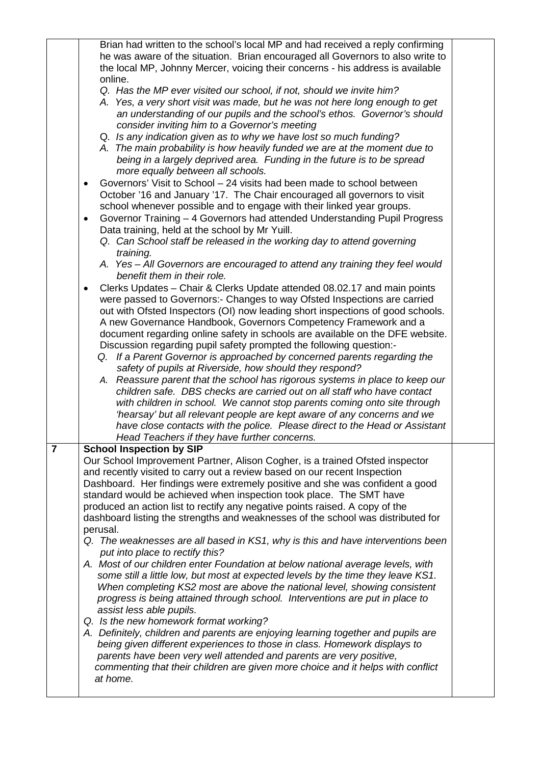|   | Brian had written to the school's local MP and had received a reply confirming                                     |  |  |
|---|--------------------------------------------------------------------------------------------------------------------|--|--|
|   | he was aware of the situation. Brian encouraged all Governors to also write to                                     |  |  |
|   | the local MP, Johnny Mercer, voicing their concerns - his address is available                                     |  |  |
|   | online.                                                                                                            |  |  |
|   | Q. Has the MP ever visited our school, if not, should we invite him?                                               |  |  |
|   | A. Yes, a very short visit was made, but he was not here long enough to get                                        |  |  |
|   | an understanding of our pupils and the school's ethos. Governor's should                                           |  |  |
|   | consider inviting him to a Governor's meeting                                                                      |  |  |
|   | Q. Is any indication given as to why we have lost so much funding?                                                 |  |  |
|   | A. The main probability is how heavily funded we are at the moment due to                                          |  |  |
|   | being in a largely deprived area. Funding in the future is to be spread                                            |  |  |
|   | more equally between all schools.                                                                                  |  |  |
|   |                                                                                                                    |  |  |
|   | Governors' Visit to School - 24 visits had been made to school between<br>$\bullet$                                |  |  |
|   | October '16 and January '17. The Chair encouraged all governors to visit                                           |  |  |
|   | school whenever possible and to engage with their linked year groups.                                              |  |  |
|   | Governor Training - 4 Governors had attended Understanding Pupil Progress                                          |  |  |
|   | Data training, held at the school by Mr Yuill.                                                                     |  |  |
|   | Q. Can School staff be released in the working day to attend governing                                             |  |  |
|   | training.                                                                                                          |  |  |
|   | A. Yes - All Governors are encouraged to attend any training they feel would                                       |  |  |
|   | benefit them in their role.                                                                                        |  |  |
|   | Clerks Updates - Chair & Clerks Update attended 08.02.17 and main points                                           |  |  |
|   | were passed to Governors:- Changes to way Ofsted Inspections are carried                                           |  |  |
|   | out with Ofsted Inspectors (OI) now leading short inspections of good schools.                                     |  |  |
|   | A new Governance Handbook, Governors Competency Framework and a                                                    |  |  |
|   | document regarding online safety in schools are available on the DFE website.                                      |  |  |
|   | Discussion regarding pupil safety prompted the following question:-                                                |  |  |
|   | Q. If a Parent Governor is approached by concerned parents regarding the                                           |  |  |
|   | safety of pupils at Riverside, how should they respond?                                                            |  |  |
|   | A. Reassure parent that the school has rigorous systems in place to keep our                                       |  |  |
|   | children safe. DBS checks are carried out on all staff who have contact                                            |  |  |
|   | with children in school. We cannot stop parents coming onto site through                                           |  |  |
|   | 'hearsay' but all relevant people are kept aware of any concerns and we                                            |  |  |
|   | have close contacts with the police. Please direct to the Head or Assistant                                        |  |  |
|   | Head Teachers if they have further concerns.                                                                       |  |  |
| 7 | <b>School Inspection by SIP</b>                                                                                    |  |  |
|   | Our School Improvement Partner, Alison Cogher, is a trained Ofsted inspector                                       |  |  |
|   | and recently visited to carry out a review based on our recent Inspection                                          |  |  |
|   | Dashboard. Her findings were extremely positive and she was confident a good                                       |  |  |
|   | standard would be achieved when inspection took place. The SMT have                                                |  |  |
|   | produced an action list to rectify any negative points raised. A copy of the                                       |  |  |
|   | dashboard listing the strengths and weaknesses of the school was distributed for                                   |  |  |
|   | perusal.                                                                                                           |  |  |
|   |                                                                                                                    |  |  |
|   | Q. The weaknesses are all based in KS1, why is this and have interventions been<br>put into place to rectify this? |  |  |
|   |                                                                                                                    |  |  |
|   | A. Most of our children enter Foundation at below national average levels, with                                    |  |  |
|   | some still a little low, but most at expected levels by the time they leave KS1.                                   |  |  |
|   | When completing KS2 most are above the national level, showing consistent                                          |  |  |
|   | progress is being attained through school. Interventions are put in place to                                       |  |  |
|   | assist less able pupils.                                                                                           |  |  |
|   | Q. Is the new homework format working?                                                                             |  |  |
|   | A. Definitely, children and parents are enjoying learning together and pupils are                                  |  |  |
|   | being given different experiences to those in class. Homework displays to                                          |  |  |
|   | parents have been very well attended and parents are very positive,                                                |  |  |
|   | commenting that their children are given more choice and it helps with conflict                                    |  |  |
|   | at home.                                                                                                           |  |  |
|   |                                                                                                                    |  |  |
|   |                                                                                                                    |  |  |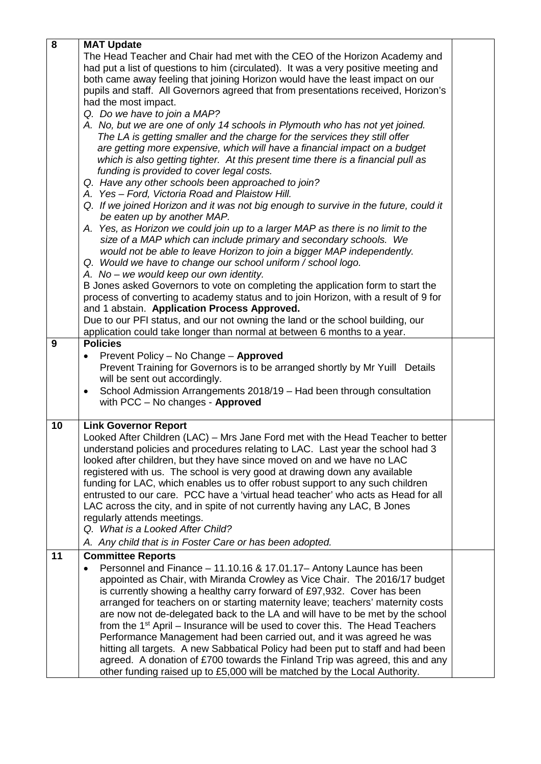| 8  | <b>MAT Update</b>                                                                                                                                                |  |  |
|----|------------------------------------------------------------------------------------------------------------------------------------------------------------------|--|--|
|    | The Head Teacher and Chair had met with the CEO of the Horizon Academy and                                                                                       |  |  |
|    | had put a list of questions to him (circulated). It was a very positive meeting and                                                                              |  |  |
|    | both came away feeling that joining Horizon would have the least impact on our                                                                                   |  |  |
|    | pupils and staff. All Governors agreed that from presentations received, Horizon's                                                                               |  |  |
|    | had the most impact.                                                                                                                                             |  |  |
|    | Q. Do we have to join a MAP?                                                                                                                                     |  |  |
|    | A. No, but we are one of only 14 schools in Plymouth who has not yet joined.                                                                                     |  |  |
|    | The LA is getting smaller and the charge for the services they still offer                                                                                       |  |  |
|    | are getting more expensive, which will have a financial impact on a budget                                                                                       |  |  |
|    | which is also getting tighter. At this present time there is a financial pull as                                                                                 |  |  |
|    | funding is provided to cover legal costs.                                                                                                                        |  |  |
|    | Q. Have any other schools been approached to join?                                                                                                               |  |  |
|    | A. Yes - Ford, Victoria Road and Plaistow Hill.                                                                                                                  |  |  |
|    | Q. If we joined Horizon and it was not big enough to survive in the future, could it                                                                             |  |  |
|    | be eaten up by another MAP.                                                                                                                                      |  |  |
|    | A. Yes, as Horizon we could join up to a larger MAP as there is no limit to the                                                                                  |  |  |
|    | size of a MAP which can include primary and secondary schools. We<br>would not be able to leave Horizon to join a bigger MAP independently.                      |  |  |
|    | Q. Would we have to change our school uniform / school logo.                                                                                                     |  |  |
|    | A. No - we would keep our own identity.                                                                                                                          |  |  |
|    | B Jones asked Governors to vote on completing the application form to start the                                                                                  |  |  |
|    | process of converting to academy status and to join Horizon, with a result of 9 for                                                                              |  |  |
|    | and 1 abstain. Application Process Approved.                                                                                                                     |  |  |
|    | Due to our PFI status, and our not owning the land or the school building, our                                                                                   |  |  |
|    | application could take longer than normal at between 6 months to a year.                                                                                         |  |  |
| 9  | <b>Policies</b>                                                                                                                                                  |  |  |
|    | Prevent Policy - No Change - Approved<br>$\bullet$                                                                                                               |  |  |
|    | Prevent Training for Governors is to be arranged shortly by Mr Yuill Details                                                                                     |  |  |
|    | will be sent out accordingly.                                                                                                                                    |  |  |
|    | School Admission Arrangements 2018/19 - Had been through consultation<br>٠                                                                                       |  |  |
|    | with PCC - No changes - Approved                                                                                                                                 |  |  |
| 10 | <b>Link Governor Report</b>                                                                                                                                      |  |  |
|    | Looked After Children (LAC) – Mrs Jane Ford met with the Head Teacher to better                                                                                  |  |  |
|    | understand policies and procedures relating to LAC. Last year the school had 3                                                                                   |  |  |
|    | looked after children, but they have since moved on and we have no LAC                                                                                           |  |  |
|    | registered with us. The school is very good at drawing down any available                                                                                        |  |  |
|    | funding for LAC, which enables us to offer robust support to any such children                                                                                   |  |  |
|    | entrusted to our care. PCC have a 'virtual head teacher' who acts as Head for all                                                                                |  |  |
|    | LAC across the city, and in spite of not currently having any LAC, B Jones                                                                                       |  |  |
|    | regularly attends meetings.<br>Q. What is a Looked After Child?                                                                                                  |  |  |
|    |                                                                                                                                                                  |  |  |
|    | A. Any child that is in Foster Care or has been adopted.                                                                                                         |  |  |
| 11 | <b>Committee Reports</b>                                                                                                                                         |  |  |
|    | Personnel and Finance - 11.10.16 & 17.01.17 - Antony Launce has been<br>$\bullet$                                                                                |  |  |
|    | appointed as Chair, with Miranda Crowley as Vice Chair. The 2016/17 budget                                                                                       |  |  |
|    | is currently showing a healthy carry forward of £97,932. Cover has been                                                                                          |  |  |
|    | arranged for teachers on or starting maternity leave; teachers' maternity costs<br>are now not de-delegated back to the LA and will have to be met by the school |  |  |
|    | from the 1 <sup>st</sup> April – Insurance will be used to cover this. The Head Teachers                                                                         |  |  |
|    | Performance Management had been carried out, and it was agreed he was                                                                                            |  |  |
|    | hitting all targets. A new Sabbatical Policy had been put to staff and had been                                                                                  |  |  |
|    | agreed. A donation of £700 towards the Finland Trip was agreed, this and any                                                                                     |  |  |
|    | other funding raised up to £5,000 will be matched by the Local Authority.                                                                                        |  |  |